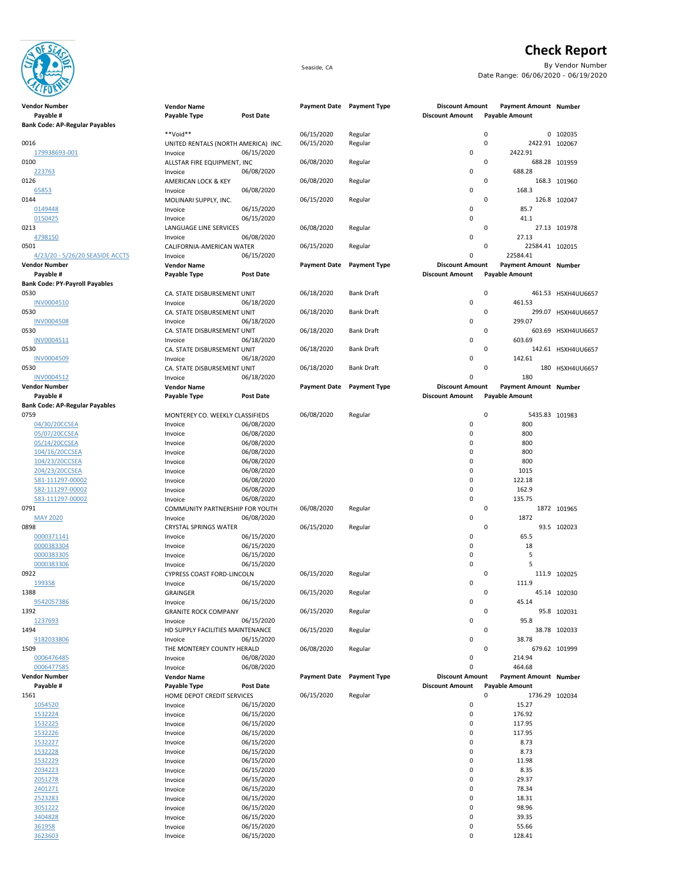

## **Check Report**

Seaside, CA By Vendor Number Date Range: 06/06/2020 - 06/19/2020

|      | Vendor Number                         | <b>Vendor Name</b>                     |                          | Payment Date Payment Type |                     | <b>Discount Amount</b> | Payment Amount Number          |                    |
|------|---------------------------------------|----------------------------------------|--------------------------|---------------------------|---------------------|------------------------|--------------------------------|--------------------|
|      | Payable #                             | Payable Type                           | <b>Post Date</b>         |                           |                     | <b>Discount Amount</b> | <b>Payable Amount</b>          |                    |
|      | <b>Bank Code: AP-Regular Payables</b> |                                        |                          |                           |                     |                        |                                |                    |
|      |                                       | **Void**                               |                          | 06/15/2020                | Regular             |                        | $\pmb{0}$                      | 0 102035           |
| 0016 |                                       | UNITED RENTALS (NORTH AMERICA) INC.    |                          | 06/15/2020                | Regular             |                        | 0<br>2422.91 102067<br>2422.91 |                    |
| 0100 | 179938693-001                         | Invoice<br>ALLSTAR FIRE EQUIPMENT, INC | 06/15/2020               | 06/08/2020                | Regular             | 0                      | 0                              | 688.28 101959      |
|      | 223763                                | Invoice                                | 06/08/2020               |                           |                     | 0                      | 688.28                         |                    |
| 0126 |                                       | AMERICAN LOCK & KEY                    |                          | 06/08/2020                | Regular             |                        | 0                              | 168.3 101960       |
|      | 65853                                 | Invoice                                | 06/08/2020               |                           |                     | 0                      | 168.3                          |                    |
| 0144 |                                       | MOLINARI SUPPLY, INC.                  |                          | 06/15/2020                | Regular             |                        | 0                              | 126.8 102047       |
|      | 0149448                               | Invoice                                | 06/15/2020               |                           |                     | 0                      | 85.7                           |                    |
|      | 0150425                               | Invoice                                | 06/15/2020               |                           |                     | 0                      | 41.1                           |                    |
| 0213 |                                       | LANGUAGE LINE SERVICES                 |                          | 06/08/2020                | Regular             |                        | 0                              | 27.13 101978       |
|      | 4798150                               | Invoice                                | 06/08/2020               |                           |                     | 0                      | 27.13                          |                    |
| 0501 |                                       | CALIFORNIA-AMERICAN WATER              |                          | 06/15/2020                | Regular             |                        | 0<br>22584.41 102015           |                    |
|      | 4/23/20 - 5/26/20 SEASIDE ACCTS       | Invoice                                | 06/15/2020               |                           |                     | 0                      | 22584.41                       |                    |
|      | Vendor Number                         | <b>Vendor Name</b>                     |                          | <b>Payment Date</b>       | <b>Payment Type</b> | <b>Discount Amount</b> | Payment Amount Number          |                    |
|      | Payable #                             | Payable Type                           | <b>Post Date</b>         |                           |                     | <b>Discount Amount</b> | <b>Payable Amount</b>          |                    |
| 0530 | <b>Bank Code: PY-Payroll Payables</b> |                                        |                          |                           | <b>Bank Draft</b>   |                        | 0                              | 461.53 HSXH4UU6657 |
|      | INV0004510                            | CA. STATE DISBURSEMENT UNIT<br>Invoice | 06/18/2020               | 06/18/2020                |                     | 0                      | 461.53                         |                    |
| 0530 |                                       | CA. STATE DISBURSEMENT UNIT            |                          | 06/18/2020                | <b>Bank Draft</b>   |                        | 0                              | 299.07 HSXH4UU6657 |
|      | <b>INV0004508</b>                     | Invoice                                | 06/18/2020               |                           |                     | 0                      | 299.07                         |                    |
| 0530 |                                       | CA. STATE DISBURSEMENT UNIT            |                          | 06/18/2020                | <b>Bank Draft</b>   |                        | 0                              | 603.69 HSXH4UU6657 |
|      | INV0004511                            | Invoice                                | 06/18/2020               |                           |                     | 0                      | 603.69                         |                    |
| 0530 |                                       | CA. STATE DISBURSEMENT UNIT            |                          | 06/18/2020                | <b>Bank Draft</b>   |                        | 0                              | 142.61 HSXH4UU6657 |
|      | <b>INV0004509</b>                     | Invoice                                | 06/18/2020               |                           |                     | 0                      | 142.61                         |                    |
| 0530 |                                       | CA. STATE DISBURSEMENT UNIT            |                          | 06/18/2020                | <b>Bank Draft</b>   |                        | 0<br>180                       | HSXH4UU6657        |
|      | INV0004512                            | Invoice                                | 06/18/2020               |                           |                     | 0                      | 180                            |                    |
|      | Vendor Number                         | <b>Vendor Name</b>                     |                          | <b>Payment Date</b>       | <b>Payment Type</b> | <b>Discount Amount</b> | Payment Amount Number          |                    |
|      | Payable #                             | Payable Type                           | <b>Post Date</b>         |                           |                     | <b>Discount Amount</b> | <b>Payable Amount</b>          |                    |
|      | <b>Bank Code: AP-Regular Payables</b> |                                        |                          |                           |                     |                        |                                |                    |
| 0759 |                                       | MONTEREY CO. WEEKLY CLASSIFIEDS        |                          | 06/08/2020                | Regular             |                        | $\pmb{0}$<br>5435.83 101983    |                    |
|      | 04/30/20CCSEA                         | Invoice                                | 06/08/2020               |                           |                     | 0<br>0                 | 800<br>800                     |                    |
|      | 05/07/20CCSEA<br>05/14/20CCSEA        | Invoice                                | 06/08/2020<br>06/08/2020 |                           |                     | 0                      | 800                            |                    |
|      | 104/16/20CCSEA                        | Invoice<br>Invoice                     | 06/08/2020               |                           |                     | 0                      | 800                            |                    |
|      | 104/23/20CCSEA                        | Invoice                                | 06/08/2020               |                           |                     | 0                      | 800                            |                    |
|      | 204/23/20CCSEA                        | Invoice                                | 06/08/2020               |                           |                     | 0                      | 1015                           |                    |
|      | 581-111297-00002                      | Invoice                                | 06/08/2020               |                           |                     | 0                      | 122.18                         |                    |
|      | 582-111297-00002                      | Invoice                                | 06/08/2020               |                           |                     | 0                      | 162.9                          |                    |
|      | 583-111297-00002                      | Invoice                                | 06/08/2020               |                           |                     | 0                      | 135.75                         |                    |
| 0791 |                                       | COMMUNITY PARTNERSHIP FOR YOUTH        |                          | 06/08/2020                | Regular             |                        | 0                              | 1872 101965        |
|      | <b>MAY 2020</b>                       | Invoice                                | 06/08/2020               |                           |                     | 0                      | 1872                           |                    |
| 0898 |                                       | <b>CRYSTAL SPRINGS WATER</b>           |                          | 06/15/2020                | Regular             |                        | 0                              | 93.5 102023        |
|      | 0000371141                            | Invoice                                | 06/15/2020               |                           |                     | 0                      | 65.5                           |                    |
|      | 0000383304                            | Invoice                                | 06/15/2020               |                           |                     | 0                      | 18                             |                    |
|      | 0000383305                            | Invoice                                | 06/15/2020               |                           |                     | 0                      | 5                              |                    |
|      | 0000383306                            | Invoice                                | 06/15/2020               |                           |                     | 0                      | 5                              |                    |
| 0922 | 199358                                | CYPRESS COAST FORD-LINCOLN<br>Invoice  | 06/15/2020               | 06/15/2020                | Regular             | 0                      | 0<br>111.9                     | 111.9 102025       |
| 1388 |                                       | GRAINGER                               |                          | 06/15/2020                | Regular             |                        | 0                              | 45.14 102030       |
|      | 9542057386                            | Invoice                                | 06/15/2020               |                           |                     | 0                      | 45.14                          |                    |
| 1392 |                                       | <b>GRANITE ROCK COMPANY</b>            |                          | 06/15/2020                | Regular             |                        | 0                              | 95.8 102031        |
|      | 1237693                               | Invoice                                | 06/15/2020               |                           |                     | 0                      | 95.8                           |                    |
| 1494 |                                       | HD SUPPLY FACILITIES MAINTENANCE       |                          | 06/15/2020                | Regular             |                        | 0                              | 38.78 102033       |
|      | 9182033806                            | Invoice                                | 06/15/2020               |                           |                     | 0                      | 38.78                          |                    |
| 1509 |                                       | THE MONTEREY COUNTY HERALD             |                          | 06/08/2020                | Regular             |                        | 0                              | 679.62 101999      |
|      | 0006476485                            | Invoice                                | 06/08/2020               |                           |                     | 0                      | 214.94                         |                    |
|      | 0006477585                            | Invoice                                | 06/08/2020               |                           |                     | 0                      | 464.68                         |                    |
|      | Vendor Number                         | <b>Vendor Name</b>                     |                          | <b>Payment Date</b>       | <b>Payment Type</b> | <b>Discount Amount</b> | <b>Payment Amount Number</b>   |                    |
|      | Payable #                             | Payable Type                           | <b>Post Date</b>         |                           |                     | <b>Discount Amount</b> | <b>Payable Amount</b>          |                    |
| 1561 |                                       | HOME DEPOT CREDIT SERVICES             |                          | 06/15/2020                | Regular             |                        | $\pmb{0}$<br>1736.29 102034    |                    |
|      | 1054520                               | Invoice                                | 06/15/2020<br>06/15/2020 |                           |                     | 0<br>0                 | 15.27                          |                    |
|      | 1532224<br>1532225                    | Invoice<br>Invoice                     | 06/15/2020               |                           |                     | 0                      | 176.92<br>117.95               |                    |
|      | 1532226                               | Invoice                                | 06/15/2020               |                           |                     | 0                      | 117.95                         |                    |
|      | 1532227                               | Invoice                                | 06/15/2020               |                           |                     | 0                      | 8.73                           |                    |
|      | 1532228                               | Invoice                                | 06/15/2020               |                           |                     | 0                      | 8.73                           |                    |
|      | 1532229                               | Invoice                                | 06/15/2020               |                           |                     | 0                      | 11.98                          |                    |
|      | 2034223                               | Invoice                                | 06/15/2020               |                           |                     | 0                      | 8.35                           |                    |
|      | 2051278                               | Invoice                                | 06/15/2020               |                           |                     | 0                      | 29.37                          |                    |
|      | 2401271                               | Invoice                                | 06/15/2020               |                           |                     | 0                      | 78.34                          |                    |
|      | 2523283                               | Invoice                                | 06/15/2020               |                           |                     | 0                      | 18.31                          |                    |
|      | 3051222                               | Invoice                                | 06/15/2020               |                           |                     | 0                      | 98.96                          |                    |
|      | 3404828                               | Invoice                                | 06/15/2020               |                           |                     | 0                      | 39.35                          |                    |
|      | 361958                                | Invoice                                | 06/15/2020               |                           |                     | 0                      | 55.66                          |                    |
|      | 3623603                               | Invoice                                | 06/15/2020               |                           |                     | 0                      | 128.41                         |                    |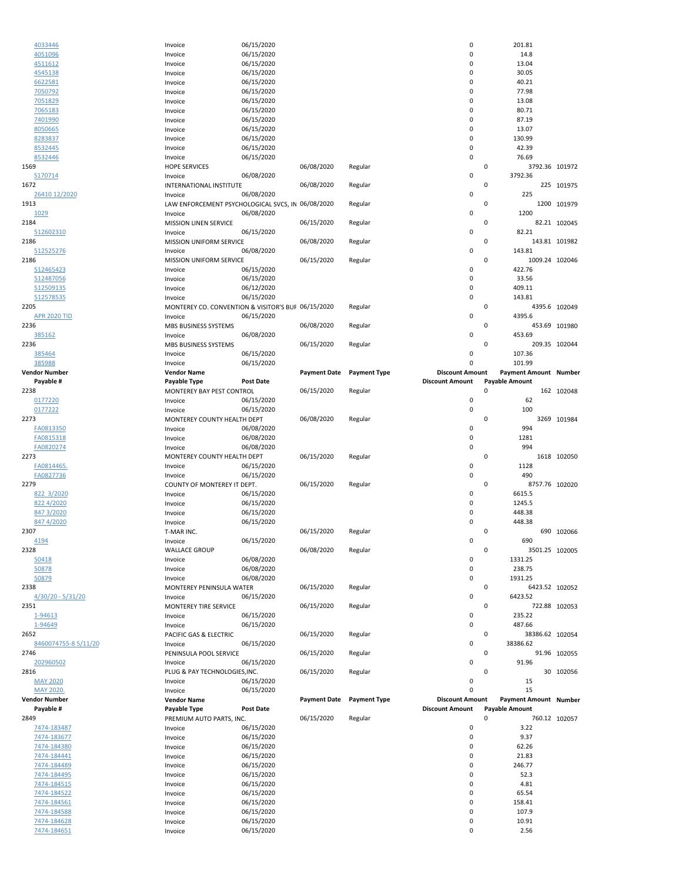| 4033446<br>4051096          |                                                              |                          |                     |                     |                        |                              |               |
|-----------------------------|--------------------------------------------------------------|--------------------------|---------------------|---------------------|------------------------|------------------------------|---------------|
|                             | Invoice                                                      | 06/15/2020               |                     |                     | 0                      | 201.81                       |               |
|                             | Invoice                                                      | 06/15/2020               |                     |                     | 0                      | 14.8                         |               |
| 4511612                     | Invoice                                                      | 06/15/2020               |                     |                     | 0                      | 13.04                        |               |
| 4545138                     | Invoice                                                      | 06/15/2020               |                     |                     | 0                      | 30.05                        |               |
| 6622581                     | Invoice                                                      | 06/15/2020               |                     |                     | 0                      | 40.21                        |               |
| 7050792                     | Invoice                                                      | 06/15/2020               |                     |                     | 0                      | 77.98                        |               |
| 7051829                     | Invoice                                                      | 06/15/2020               |                     |                     | 0                      | 13.08                        |               |
| 7065183                     | Invoice                                                      | 06/15/2020               |                     |                     | 0                      | 80.71                        |               |
| 7401990                     | Invoice                                                      | 06/15/2020               |                     |                     | 0                      | 87.19                        |               |
| 8050665                     | Invoice                                                      | 06/15/2020               |                     |                     | 0                      | 13.07                        |               |
| 8283837                     | Invoice                                                      | 06/15/2020               |                     |                     | 0                      | 130.99                       |               |
| 8532445                     | Invoice                                                      | 06/15/2020               |                     |                     | 0                      | 42.39                        |               |
| 8532446                     | Invoice                                                      | 06/15/2020               |                     |                     | 0                      | 76.69                        |               |
| 1569                        | <b>HOPE SERVICES</b>                                         |                          | 06/08/2020          | Regular             | 0                      | 3792.36 101972               |               |
| S170714                     | Invoice                                                      | 06/08/2020               |                     |                     | 0                      | 3792.36                      |               |
| 1672                        | INTERNATIONAL INSTITUTE                                      | 06/08/2020               | 06/08/2020          | Regular             | 0<br>0                 |                              | 225 101975    |
| 26410 12/2020<br>1913       | Invoice                                                      |                          |                     |                     | 0                      | 225                          | 1200 101979   |
| 1029                        | LAW ENFORCEMENT PSYCHOLOGICAL SVCS, IN 06/08/2020<br>Invoice | 06/08/2020               |                     | Regular             | 0                      | 1200                         |               |
| 2184                        | MISSION LINEN SERVICE                                        |                          | 06/15/2020          | Regular             | 0                      |                              | 82.21 102045  |
| 512602310                   | Invoice                                                      | 06/15/2020               |                     |                     | 0                      | 82.21                        |               |
| 2186                        | MISSION UNIFORM SERVICE                                      |                          | 06/08/2020          | Regular             | 0                      |                              | 143.81 101982 |
| 512525276                   | Invoice                                                      | 06/08/2020               |                     |                     | 0                      | 143.81                       |               |
| 2186                        | <b>MISSION UNIFORM SERVICE</b>                               |                          | 06/15/2020          | Regular             | 0                      | 1009.24 102046               |               |
| 512465423                   | Invoice                                                      | 06/15/2020               |                     |                     | 0                      | 422.76                       |               |
| 512487056                   | Invoice                                                      | 06/15/2020               |                     |                     | 0                      | 33.56                        |               |
| 512509135                   | Invoice                                                      | 06/12/2020               |                     |                     | 0                      | 409.11                       |               |
| 512578535                   | Invoice                                                      | 06/15/2020               |                     |                     | 0                      | 143.81                       |               |
| 2205                        | MONTEREY CO. CONVENTION & VISITOR'S BUF 06/15/2020           |                          |                     | Regular             | 0                      |                              | 4395.6 102049 |
| <b>APR 2020 TID</b>         | Invoice                                                      | 06/15/2020               |                     |                     | 0                      | 4395.6                       |               |
| 2236                        | MBS BUSINESS SYSTEMS                                         |                          | 06/08/2020          | Regular             | 0                      |                              | 453.69 101980 |
| 385162                      | Invoice                                                      | 06/08/2020               |                     |                     | 0                      | 453.69                       |               |
| 2236                        | MBS BUSINESS SYSTEMS                                         |                          | 06/15/2020          | Regular             | 0                      |                              | 209.35 102044 |
| 385464                      | Invoice                                                      | 06/15/2020               |                     |                     | 0                      | 107.36                       |               |
| 385988                      | Invoice                                                      | 06/15/2020               |                     |                     | $\mathbf 0$            | 101.99                       |               |
| <b>Vendor Number</b>        | <b>Vendor Name</b>                                           |                          | <b>Payment Date</b> | <b>Payment Type</b> | <b>Discount Amount</b> | <b>Payment Amount Number</b> |               |
| Payable #                   | Payable Type                                                 | <b>Post Date</b>         |                     |                     | <b>Discount Amount</b> | <b>Payable Amount</b>        |               |
| 2238                        | MONTEREY BAY PEST CONTROL                                    |                          | 06/15/2020          | Regular             | 0                      |                              | 162 102048    |
| 0177220                     | Invoice                                                      | 06/15/2020               |                     |                     | 0                      | 62                           |               |
| 0177222                     | Invoice                                                      | 06/15/2020               |                     |                     | 0                      | 100                          |               |
| 2273                        | MONTEREY COUNTY HEALTH DEPT                                  |                          | 06/08/2020          | Regular             | 0                      |                              | 3269 101984   |
| FA0813350                   | Invoice                                                      | 06/08/2020               |                     |                     | 0                      | 994                          |               |
| FA0815318                   | Invoice                                                      | 06/08/2020               |                     |                     | 0                      | 1281                         |               |
| FA0820274                   | Invoice                                                      | 06/08/2020               |                     |                     | 0                      | 994                          |               |
| 2273                        | MONTEREY COUNTY HEALTH DEPT                                  |                          | 06/15/2020          | Regular             | 0                      |                              | 1618 102050   |
| FA0814465.                  | Invoice                                                      |                          |                     |                     |                        |                              |               |
|                             |                                                              | 06/15/2020               |                     |                     | 0                      | 1128                         |               |
| FA0827736                   | Invoice                                                      | 06/15/2020               |                     |                     | 0                      | 490                          |               |
| 2279                        | COUNTY OF MONTEREY IT DEPT.                                  |                          | 06/15/2020          | Regular             | 0                      | 8757.76 102020               |               |
| 822 3/2020                  | Invoice                                                      | 06/15/2020               |                     |                     | 0                      | 6615.5                       |               |
| 822 4/2020                  | Invoice                                                      | 06/15/2020               |                     |                     | 0                      | 1245.5                       |               |
| 847 3/2020                  | Invoice                                                      | 06/15/2020               |                     |                     | 0                      | 448.38                       |               |
| 847 4/2020                  | Invoice                                                      | 06/15/2020               |                     |                     | 0                      | 448.38                       |               |
| 2307                        | T-MAR INC.                                                   |                          | 06/15/2020          | Regular             | 0                      |                              | 690 102066    |
| 4194                        | Invoice                                                      | 06/15/2020               |                     |                     | 0                      | 690                          |               |
| 2328                        | <b>WALLACE GROUP</b>                                         |                          | 06/08/2020          | Regular             | 0                      | 3501.25 102005               |               |
| 50418                       | Invoice                                                      | 06/08/2020               |                     |                     | 0                      | 1331.25                      |               |
| 50878                       | Invoice                                                      | 06/08/2020               |                     |                     | 0                      | 238.75                       |               |
| 50879                       | Invoice                                                      | 06/08/2020               |                     |                     | 0                      | 1931.25                      |               |
| 2338                        | MONTEREY PENINSULA WATER                                     |                          | 06/15/2020          | Regular             | 0                      | 6423.52 102052               |               |
| $4/30/20 - 5/31/20$<br>2351 | Invoice                                                      | 06/15/2020               |                     |                     | 0<br>0                 | 6423.52                      |               |
| 1-94613                     | MONTEREY TIRE SERVICE<br>Invoice                             | 06/15/2020               | 06/15/2020          | Regular             | 0                      | 235.22                       | 722.88 102053 |
| 1-94649                     | Invoice                                                      | 06/15/2020               |                     |                     | 0                      | 487.66                       |               |
| 2652                        | PACIFIC GAS & ELECTRIC                                       |                          | 06/15/2020          | Regular             | 0                      | 38386.62 102054              |               |
| 8460074755-8 5/11/20        | Invoice                                                      | 06/15/2020               |                     |                     | 0                      | 38386.62                     |               |
| 2746                        | PENINSULA POOL SERVICE                                       |                          | 06/15/2020          | Regular             | 0                      |                              | 91.96 102055  |
| 202960502                   | Invoice                                                      | 06/15/2020               |                     |                     | 0                      | 91.96                        |               |
| 2816                        | PLUG & PAY TECHNOLOGIES, INC.                                |                          | 06/15/2020          | Regular             | 0                      |                              | 30 102056     |
| <b>MAY 2020</b>             | Invoice                                                      | 06/15/2020               |                     |                     | 0                      | 15                           |               |
| <b>MAY 2020.</b>            | Invoice                                                      | 06/15/2020               |                     |                     | 0                      | 15                           |               |
| <b>Vendor Number</b>        | <b>Vendor Name</b>                                           |                          | <b>Payment Date</b> | <b>Payment Type</b> | <b>Discount Amount</b> | <b>Payment Amount Number</b> |               |
| Payable #                   | Payable Type                                                 | <b>Post Date</b>         |                     |                     | <b>Discount Amount</b> | <b>Payable Amount</b>        |               |
| 2849                        | PREMIUM AUTO PARTS, INC.                                     |                          | 06/15/2020          | Regular             | 0                      |                              | 760.12 102057 |
| 7474-183487                 | Invoice                                                      | 06/15/2020               |                     |                     | 0                      | 3.22                         |               |
| 7474-183677                 | Invoice                                                      | 06/15/2020               |                     |                     | 0                      | 9.37                         |               |
| 7474-184380                 | Invoice                                                      | 06/15/2020               |                     |                     | 0                      | 62.26                        |               |
| 7474-184441                 | Invoice                                                      | 06/15/2020               |                     |                     | 0                      | 21.83                        |               |
| 7474-184489                 | Invoice                                                      | 06/15/2020               |                     |                     | 0                      | 246.77                       |               |
| 7474-184495                 | Invoice                                                      | 06/15/2020               |                     |                     | $\Omega$               | 52.3                         |               |
| 7474-184515                 | Invoice                                                      | 06/15/2020               |                     |                     | 0                      | 4.81                         |               |
| 7474-184522                 | Invoice                                                      | 06/15/2020               |                     |                     | 0                      | 65.54                        |               |
| 7474-184561                 | Invoice                                                      | 06/15/2020               |                     |                     | 0                      | 158.41                       |               |
| 7474-184588                 | Invoice                                                      | 06/15/2020               |                     |                     | 0                      | 107.9                        |               |
| 7474-184628<br>7474-184651  | Invoice<br>Invoice                                           | 06/15/2020<br>06/15/2020 |                     |                     | 0<br>0                 | 10.91<br>2.56                |               |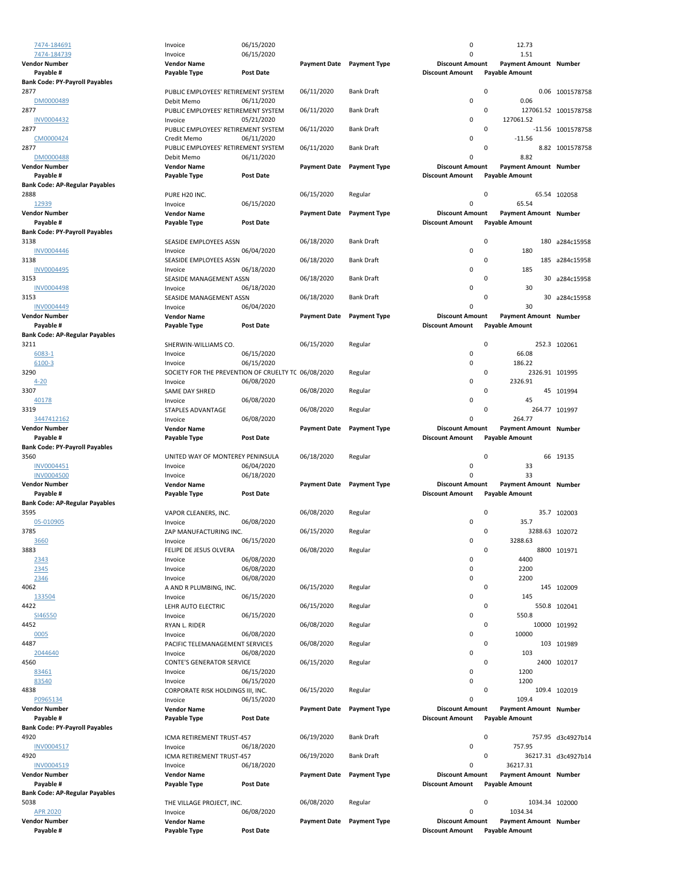| 7474-184691                           | Invoice                                             | 06/15/2020 |                     |                           | 0                      | 12.73                        |                      |
|---------------------------------------|-----------------------------------------------------|------------|---------------------|---------------------------|------------------------|------------------------------|----------------------|
| 7474-184739                           | Invoice                                             | 06/15/2020 |                     |                           | 0                      | 1.51                         |                      |
| <b>Vendor Number</b>                  | <b>Vendor Name</b>                                  |            |                     | Payment Date Payment Type | <b>Discount Amount</b> | Payment Amount Number        |                      |
| Payable #                             | Payable Type                                        | Post Date  |                     |                           | <b>Discount Amount</b> | <b>Payable Amount</b>        |                      |
| <b>Bank Code: PY-Payroll Payables</b> |                                                     |            |                     |                           |                        |                              |                      |
| 2877                                  | PUBLIC EMPLOYEES' RETIREMENT SYSTEM                 |            | 06/11/2020          | <b>Bank Draft</b>         | 0                      |                              | 0.06 1001578758      |
| DM0000489                             | Debit Memo                                          | 06/11/2020 |                     |                           | 0                      | 0.06                         |                      |
| 2877                                  | PUBLIC EMPLOYEES' RETIREMENT SYSTEM                 |            | 06/11/2020          | <b>Bank Draft</b>         | 0                      |                              | 127061.52 1001578758 |
| <b>INV0004432</b>                     | Invoice                                             | 05/21/2020 |                     |                           | 0                      | 127061.52                    |                      |
| 2877                                  | PUBLIC EMPLOYEES' RETIREMENT SYSTEM                 |            | 06/11/2020          | <b>Bank Draft</b>         | 0                      |                              | -11.56 1001578758    |
| CM0000424                             | Credit Memo                                         | 06/11/2020 |                     |                           | 0                      | $-11.56$                     |                      |
| 2877                                  | PUBLIC EMPLOYEES' RETIREMENT SYSTEM                 |            | 06/11/2020          | <b>Bank Draft</b>         | 0                      |                              | 8.82 1001578758      |
| DM0000488                             | Debit Memo                                          | 06/11/2020 |                     |                           | 0                      | 8.82                         |                      |
| <b>Vendor Number</b>                  | <b>Vendor Name</b>                                  |            | <b>Payment Date</b> | <b>Payment Type</b>       | <b>Discount Amount</b> | <b>Payment Amount Number</b> |                      |
| Payable #                             | Payable Type                                        | Post Date  |                     |                           | <b>Discount Amount</b> | <b>Payable Amount</b>        |                      |
| <b>Bank Code: AP-Regular Payables</b> |                                                     |            |                     |                           |                        |                              |                      |
| 2888                                  | PURE H20 INC.                                       |            | 06/15/2020          | Regular                   | 0                      |                              | 65.54 102058         |
| 12939                                 | Invoice                                             | 06/15/2020 |                     |                           | 0                      | 65.54                        |                      |
| <b>Vendor Number</b>                  | <b>Vendor Name</b>                                  |            | <b>Payment Date</b> | <b>Payment Type</b>       | <b>Discount Amount</b> | Payment Amount Number        |                      |
| Payable #                             | Payable Type                                        | Post Date  |                     |                           | <b>Discount Amount</b> | <b>Payable Amount</b>        |                      |
| <b>Bank Code: PY-Payroll Payables</b> |                                                     |            |                     |                           |                        |                              |                      |
| 3138                                  | SEASIDE EMPLOYEES ASSN                              |            | 06/18/2020          | <b>Bank Draft</b>         | 0                      | 180                          | a284c15958           |
| <b>INV0004446</b>                     | Invoice                                             | 06/04/2020 |                     |                           | 0                      | 180                          |                      |
| 3138                                  | SEASIDE EMPLOYEES ASSN                              |            | 06/18/2020          | <b>Bank Draft</b>         | 0                      | 185                          | a284c15958           |
| INV0004495                            | Invoice                                             | 06/18/2020 |                     |                           | 0                      | 185                          |                      |
| 3153                                  | SEASIDE MANAGEMENT ASSN                             |            | 06/18/2020          | <b>Bank Draft</b>         | 0                      |                              | 30 a284c15958        |
| <b>INV0004498</b>                     | Invoice                                             | 06/18/2020 |                     |                           | 0                      | 30                           |                      |
| 3153                                  | SEASIDE MANAGEMENT ASSN                             |            | 06/18/2020          | <b>Bank Draft</b>         | 0                      |                              | 30 a284c15958        |
| <b>INV0004449</b>                     | Invoice                                             | 06/04/2020 |                     |                           | 0                      | 30                           |                      |
| <b>Vendor Number</b>                  | <b>Vendor Name</b>                                  |            | <b>Payment Date</b> | <b>Payment Type</b>       | <b>Discount Amount</b> | <b>Payment Amount Number</b> |                      |
| Payable #                             | Payable Type                                        | Post Date  |                     |                           | <b>Discount Amount</b> | <b>Payable Amount</b>        |                      |
| <b>Bank Code: AP-Regular Payables</b> |                                                     |            |                     |                           |                        |                              |                      |
| 3211                                  | SHERWIN-WILLIAMS CO.                                |            | 06/15/2020          | Regular                   | 0                      |                              | 252.3 102061         |
| 6083-1                                | Invoice                                             | 06/15/2020 |                     |                           | 0                      | 66.08                        |                      |
| 6100-3                                | Invoice                                             | 06/15/2020 |                     |                           | 0                      | 186.22                       |                      |
| 3290                                  | SOCIETY FOR THE PREVENTION OF CRUELTY TC 06/08/2020 |            |                     | Regular                   | 0                      | 2326.91 101995               |                      |
| $4 - 20$                              | Invoice                                             | 06/08/2020 |                     |                           | 0                      | 2326.91                      |                      |
| 3307                                  | SAME DAY SHRED                                      |            | 06/08/2020          | Regular                   | 0                      |                              | 45 101994            |
| 40178                                 | Invoice                                             | 06/08/2020 |                     |                           | 0                      | 45                           |                      |
| 3319                                  | STAPLES ADVANTAGE                                   |            | 06/08/2020          | Regular                   | 0                      |                              | 264.77 101997        |
| 3447412162                            | Invoice                                             | 06/08/2020 |                     |                           | $\Omega$               | 264.77                       |                      |
| <b>Vendor Number</b>                  | <b>Vendor Name</b>                                  |            | <b>Payment Date</b> | <b>Payment Type</b>       | <b>Discount Amount</b> | Payment Amount Number        |                      |
| Payable #                             | Payable Type                                        | Post Date  |                     |                           | <b>Discount Amount</b> | <b>Payable Amount</b>        |                      |
| <b>Bank Code: PY-Payroll Payables</b> |                                                     |            |                     |                           |                        |                              |                      |
| 3560                                  | UNITED WAY OF MONTEREY PENINSULA                    |            | 06/18/2020          | Regular                   | 0                      |                              | 66 19135             |
| INV0004451                            | Invoice                                             | 06/04/2020 |                     |                           | 0                      | 33                           |                      |
| <b>INV0004500</b>                     | Invoice                                             | 06/18/2020 |                     |                           | 0                      | 33                           |                      |
| <b>Vendor Number</b>                  | <b>Vendor Name</b>                                  |            | <b>Payment Date</b> | <b>Payment Type</b>       | <b>Discount Amount</b> | Payment Amount Number        |                      |
| Payable #                             | Payable Type                                        | Post Date  |                     |                           | <b>Discount Amount</b> | <b>Payable Amount</b>        |                      |
| <b>Bank Code: AP-Regular Payables</b> |                                                     |            |                     |                           |                        |                              |                      |
| 3595                                  | VAPOR CLEANERS, INC.                                |            | 06/08/2020          | Regular                   | 0                      |                              | 35.7 102003          |
| 05-010905                             | Invoice                                             | 06/08/2020 |                     |                           | $\Omega$               | 35.7                         |                      |
| 3785                                  | ZAP MANUFACTURING INC.                              |            | 06/15/2020          | Regular                   | 0                      | 3288.63 102072               |                      |
| 3660                                  | Invoice                                             | 06/15/2020 |                     |                           | 0                      | 3288.63                      |                      |
| 3883                                  | FELIPE DE JESUS OLVERA                              |            | 06/08/2020          | Regular                   | 0                      |                              | 8800 101971          |
| 2343                                  | Invoice                                             | 06/08/2020 |                     |                           | 0                      | 4400                         |                      |
| 2345                                  | Invoice                                             | 06/08/2020 |                     |                           | 0                      | 2200                         |                      |
| 2346                                  | Invoice                                             | 06/08/2020 |                     |                           | 0                      | 2200                         |                      |
| 4062                                  | A AND R PLUMBING, INC.                              |            | 06/15/2020          | Regular                   | 0                      |                              | 145 102009           |
| 133504                                | Invoice                                             | 06/15/2020 |                     |                           | 0                      | 145                          |                      |
| 4422                                  | LEHR AUTO ELECTRIC                                  |            | 06/15/2020          | Regular                   | 0                      |                              | 550.8 102041         |
| SI46550                               | Invoice                                             | 06/15/2020 |                     |                           | 0                      | 550.8                        |                      |
| 4452                                  | RYAN L. RIDER                                       |            | 06/08/2020          | Regular                   | 0                      |                              | 10000 101992         |
| 0005                                  | Invoice                                             | 06/08/2020 |                     |                           | 0                      | 10000                        |                      |
| 4487                                  | PACIFIC TELEMANAGEMENT SERVICES                     |            | 06/08/2020          | Regular                   | 0                      |                              | 103 101989           |
| 2044640                               | Invoice                                             | 06/08/2020 |                     |                           | 0                      | 103                          |                      |
| 4560                                  | CONTE'S GENERATOR SERVICE                           |            | 06/15/2020          | Regular                   | 0                      |                              | 2400 102017          |
| 83461                                 | Invoice                                             | 06/15/2020 |                     |                           | 0                      | 1200                         |                      |
| 83540                                 | Invoice                                             | 06/15/2020 |                     |                           | 0                      | 1200                         |                      |
| 4838                                  | CORPORATE RISK HOLDINGS III, INC.                   |            | 06/15/2020          | Regular                   | 0                      |                              | 109.4 102019         |
| P0965134                              | Invoice                                             | 06/15/2020 |                     |                           | 0                      | 109.4                        |                      |
| <b>Vendor Number</b>                  | <b>Vendor Name</b>                                  |            | <b>Payment Date</b> | <b>Payment Type</b>       | <b>Discount Amount</b> | Payment Amount Number        |                      |
| Payable #                             | Payable Type                                        | Post Date  |                     |                           | <b>Discount Amount</b> | <b>Payable Amount</b>        |                      |
| <b>Bank Code: PY-Payroll Payables</b> |                                                     |            |                     |                           |                        |                              |                      |
| 4920                                  | ICMA RETIREMENT TRUST-457                           |            | 06/19/2020          | <b>Bank Draft</b>         | 0                      |                              | 757.95 d3c4927b14    |
| INV0004517                            | Invoice                                             | 06/18/2020 |                     |                           | 0                      | 757.95                       |                      |
| 4920                                  | ICMA RETIREMENT TRUST-457                           |            | 06/19/2020          | <b>Bank Draft</b>         | 0                      |                              | 36217.31 d3c4927b14  |
| INV0004519                            | Invoice                                             | 06/18/2020 |                     |                           | 0                      | 36217.31                     |                      |
| <b>Vendor Number</b>                  | <b>Vendor Name</b>                                  |            | <b>Payment Date</b> | <b>Payment Type</b>       | <b>Discount Amount</b> | Payment Amount Number        |                      |
| Payable #                             | Payable Type                                        | Post Date  |                     |                           | <b>Discount Amount</b> | <b>Payable Amount</b>        |                      |
| <b>Bank Code: AP-Regular Payables</b> |                                                     |            |                     |                           |                        |                              |                      |
| 5038                                  | THE VILLAGE PROJECT, INC.                           |            | 06/08/2020          | Regular                   | 0                      | 1034.34 102000               |                      |
| <b>APR 2020</b>                       | Invoice                                             | 06/08/2020 |                     |                           | 0                      | 1034.34                      |                      |
| <b>Vendor Number</b>                  | <b>Vendor Name</b>                                  |            | <b>Payment Date</b> | <b>Payment Type</b>       | <b>Discount Amount</b> | Payment Amount Number        |                      |
|                                       |                                                     |            |                     |                           |                        |                              |                      |
| Payable #                             | Payable Type                                        | Post Date  |                     |                           | <b>Discount Amount</b> | <b>Payable Amount</b>        |                      |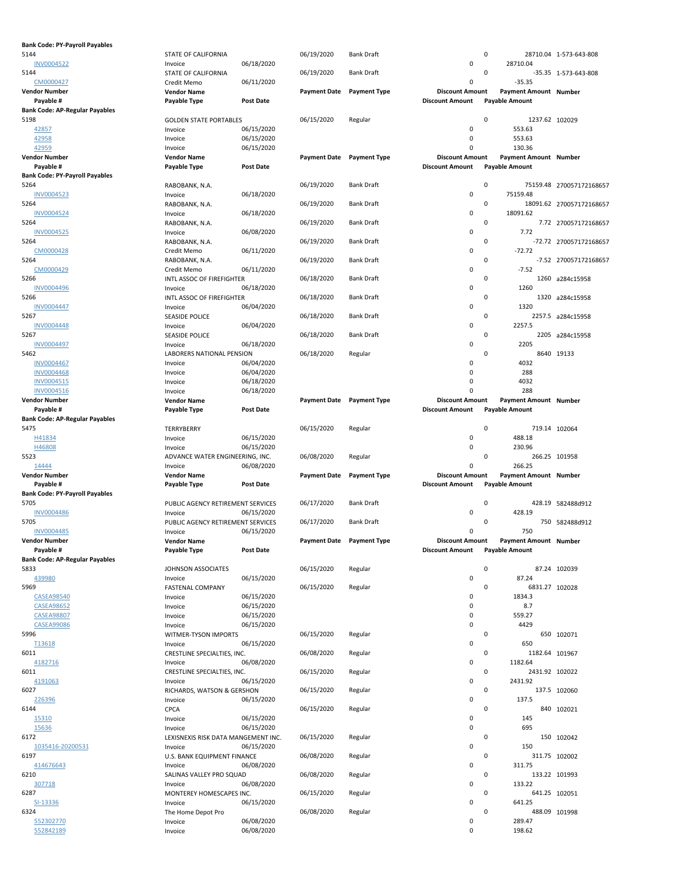| <b>Bank Code: PY-Payroll Payables</b> |                                            |                  |                     |                           |                        |   |                       |                          |
|---------------------------------------|--------------------------------------------|------------------|---------------------|---------------------------|------------------------|---|-----------------------|--------------------------|
| 5144                                  | STATE OF CALIFORNIA                        |                  | 06/19/2020          | <b>Bank Draft</b>         |                        | 0 |                       | 28710.04 1-573-643-808   |
| <b>INV0004522</b>                     | Invoice                                    | 06/18/2020       |                     |                           | 0                      |   | 28710.04              |                          |
| 5144                                  | STATE OF CALIFORNIA                        |                  | 06/19/2020          | <b>Bank Draft</b>         |                        | 0 |                       | -35.35 1-573-643-808     |
| CM0000427                             | Credit Memo                                | 06/11/2020       |                     |                           | 0                      |   | $-35.35$              |                          |
| <b>Vendor Number</b>                  | <b>Vendor Name</b>                         |                  | <b>Payment Date</b> | <b>Payment Type</b>       | <b>Discount Amount</b> |   | Payment Amount Number |                          |
| Payable #                             | Payable Type                               | <b>Post Date</b> |                     |                           | <b>Discount Amount</b> |   | <b>Payable Amount</b> |                          |
| <b>Bank Code: AP-Regular Payables</b> |                                            |                  |                     |                           |                        |   |                       |                          |
| 5198                                  | <b>GOLDEN STATE PORTABLES</b>              |                  | 06/15/2020          | Regular                   |                        | 0 | 1237.62 102029        |                          |
| 42857                                 | Invoice                                    | 06/15/2020       |                     |                           | 0                      |   | 553.63                |                          |
| 42958                                 | Invoice                                    | 06/15/2020       |                     |                           | 0                      |   | 553.63                |                          |
| 42959                                 | Invoice                                    | 06/15/2020       |                     |                           | $\Omega$               |   | 130.36                |                          |
| <b>Vendor Number</b>                  | <b>Vendor Name</b>                         |                  | <b>Payment Date</b> | <b>Payment Type</b>       | <b>Discount Amount</b> |   | Payment Amount Number |                          |
| Payable #                             | Payable Type                               | <b>Post Date</b> |                     |                           | <b>Discount Amount</b> |   | <b>Payable Amount</b> |                          |
| <b>Bank Code: PY-Payroll Payables</b> |                                            |                  |                     |                           |                        |   |                       |                          |
| 5264                                  | RABOBANK, N.A.                             |                  | 06/19/2020          | <b>Bank Draft</b>         |                        | 0 |                       | 75159.48 270057172168657 |
| <b>INV0004523</b>                     | Invoice                                    | 06/18/2020       |                     |                           | 0                      |   | 75159.48              |                          |
| 5264                                  | RABOBANK, N.A.                             |                  | 06/19/2020          | <b>Bank Draft</b>         |                        | 0 |                       | 18091.62 270057172168657 |
| <b>INV0004524</b>                     | Invoice                                    | 06/18/2020       |                     |                           | 0                      |   | 18091.62              |                          |
| 5264                                  | RABOBANK, N.A.                             |                  | 06/19/2020          | <b>Bank Draft</b>         |                        | 0 |                       | 7.72 270057172168657     |
| <b>INV0004525</b>                     | Invoice                                    | 06/08/2020       |                     |                           | 0                      |   | 7.72                  |                          |
| 5264                                  | RABOBANK, N.A.                             |                  | 06/19/2020          | <b>Bank Draft</b>         |                        | 0 |                       | -72.72 270057172168657   |
| CM0000428                             | Credit Memo                                | 06/11/2020       |                     |                           | 0                      |   | $-72.72$              |                          |
| 5264                                  | RABOBANK, N.A.                             |                  | 06/19/2020          | <b>Bank Draft</b>         |                        | 0 |                       | -7.52 270057172168657    |
| CM0000429                             | Credit Memo                                | 06/11/2020       |                     |                           | 0                      |   | $-7.52$               |                          |
| 5266                                  | INTL ASSOC OF FIREFIGHTER                  |                  | 06/18/2020          | <b>Bank Draft</b>         |                        | 0 |                       | 1260 a284c15958          |
| <b>INV0004496</b>                     | Invoice                                    | 06/18/2020       |                     |                           | 0                      |   | 1260                  |                          |
| 5266                                  | INTL ASSOC OF FIREFIGHTER                  |                  | 06/18/2020          | <b>Bank Draft</b>         |                        | 0 |                       | 1320 a284c15958          |
| <b>INV0004447</b>                     | Invoice                                    | 06/04/2020       |                     |                           | 0                      |   | 1320                  |                          |
| 5267                                  | <b>SEASIDE POLICE</b>                      |                  | 06/18/2020          | <b>Bank Draft</b>         |                        | 0 |                       | 2257.5 a284c15958        |
| <b>INV0004448</b>                     | Invoice                                    | 06/04/2020       |                     |                           | 0                      |   | 2257.5                |                          |
| 5267                                  | <b>SEASIDE POLICE</b>                      |                  | 06/18/2020          | <b>Bank Draft</b>         |                        | 0 |                       | 2205 a284c15958          |
| <b>INV0004497</b>                     | Invoice                                    | 06/18/2020       |                     |                           | 0                      |   | 2205                  |                          |
| 5462                                  | LABORERS NATIONAL PENSION                  |                  | 06/18/2020          | Regular                   |                        | 0 |                       | 8640 19133               |
| INV0004467                            | Invoice                                    | 06/04/2020       |                     |                           | 0                      |   | 4032                  |                          |
| <b>INV0004468</b>                     | Invoice                                    | 06/04/2020       |                     |                           | 0                      |   | 288                   |                          |
| INV0004515                            | Invoice                                    | 06/18/2020       |                     |                           | 0                      |   | 4032                  |                          |
| <b>INV0004516</b>                     | Invoice                                    | 06/18/2020       |                     |                           | $\Omega$               |   | 288                   |                          |
| <b>Vendor Number</b>                  | <b>Vendor Name</b>                         |                  | <b>Payment Date</b> | <b>Payment Type</b>       | <b>Discount Amount</b> |   | Payment Amount Number |                          |
| Payable #                             | Payable Type                               | <b>Post Date</b> |                     |                           | <b>Discount Amount</b> |   | <b>Payable Amount</b> |                          |
| <b>Bank Code: AP-Regular Payables</b> |                                            |                  |                     |                           |                        |   |                       |                          |
| 5475                                  | TERRYBERRY                                 |                  | 06/15/2020          | Regular                   |                        | 0 |                       | 719.14 102064            |
|                                       |                                            |                  |                     |                           |                        |   |                       |                          |
| H41834                                | Invoice                                    | 06/15/2020       |                     |                           | 0                      |   | 488.18                |                          |
| H46808                                | Invoice                                    | 06/15/2020       |                     |                           | 0                      |   | 230.96                |                          |
| 5523                                  |                                            |                  | 06/08/2020          | Regular                   |                        | 0 | 266.25 101958         |                          |
| 14444                                 | ADVANCE WATER ENGINEERING, INC.<br>Invoice | 06/08/2020       |                     |                           | 0                      |   | 266.25                |                          |
| <b>Vendor Number</b>                  | <b>Vendor Name</b>                         |                  | <b>Payment Date</b> | <b>Payment Type</b>       | <b>Discount Amount</b> |   | Payment Amount Number |                          |
| Payable #                             | Payable Type                               | <b>Post Date</b> |                     |                           | <b>Discount Amount</b> |   | <b>Payable Amount</b> |                          |
| <b>Bank Code: PY-Payroll Payables</b> |                                            |                  |                     |                           |                        |   |                       |                          |
| 5705                                  | PUBLIC AGENCY RETIREMENT SERVICES          |                  | 06/17/2020          | <b>Bank Draft</b>         |                        | 0 |                       | 428.19 582488d912        |
| <b>INV0004486</b>                     | Invoice                                    | 06/15/2020       |                     |                           | 0                      |   | 428.19                |                          |
| 5705                                  | PUBLIC AGENCY RETIREMENT SERVICES          |                  | 06/17/2020          | <b>Bank Draft</b>         |                        | 0 |                       | 750 582488d912           |
| <b>INV0004485</b>                     | Invoice                                    | 06/15/2020       |                     |                           | 0                      |   | 750                   |                          |
| <b>Vendor Number</b>                  | <b>Vendor Name</b>                         |                  |                     | Payment Date Payment Type | <b>Discount Amount</b> |   | Payment Amount Number |                          |
| Payable #                             | Payable Type                               | <b>Post Date</b> |                     |                           | <b>Discount Amount</b> |   | <b>Payable Amount</b> |                          |
| <b>Bank Code: AP-Regular Payables</b> |                                            |                  |                     |                           |                        |   |                       |                          |
| 5833                                  | JOHNSON ASSOCIATES                         |                  | 06/15/2020          | Regular                   |                        | 0 |                       | 87.24 102039             |
| 439980                                | Invoice                                    | 06/15/2020       |                     |                           | 0                      |   | 87.24                 |                          |
| 5969                                  | <b>FASTENAL COMPANY</b>                    |                  | 06/15/2020          | Regular                   |                        | 0 | 6831.27 102028        |                          |
| <b>CASEA98540</b>                     | Invoice                                    | 06/15/2020       |                     |                           | 0                      |   | 1834.3                |                          |
| <b>CASEA98652</b>                     | Invoice                                    | 06/15/2020       |                     |                           | 0                      |   | 8.7                   |                          |
| <b>CASEA98807</b>                     | Invoice                                    | 06/15/2020       |                     |                           | 0                      |   | 559.27                |                          |
| <b>CASEA99086</b>                     | Invoice                                    | 06/15/2020       |                     |                           | 0                      |   | 4429                  |                          |
| 5996                                  | WITMER-TYSON IMPORTS                       |                  | 06/15/2020          | Regular                   |                        | 0 |                       | 650 102071               |
| T13618                                | Invoice                                    | 06/15/2020       |                     |                           | 0                      |   | 650                   |                          |
| 6011                                  | CRESTLINE SPECIALTIES, INC.                |                  | 06/08/2020          | Regular                   |                        | 0 | 1182.64 101967        |                          |
| 4182716                               | Invoice                                    | 06/08/2020       |                     |                           | 0                      |   | 1182.64               |                          |
| 6011                                  | CRESTLINE SPECIALTIES, INC.                |                  | 06/15/2020          | Regular                   |                        | 0 | 2431.92 102022        |                          |
| 4191063                               | Invoice                                    | 06/15/2020       |                     |                           | 0                      |   | 2431.92               |                          |
| 6027                                  | RICHARDS, WATSON & GERSHON                 |                  | 06/15/2020          | Regular                   |                        | 0 |                       | 137.5 102060             |
| 226396                                | Invoice                                    | 06/15/2020       |                     |                           | 0                      |   | 137.5                 |                          |
| 6144                                  | CPCA                                       |                  | 06/15/2020          | Regular                   |                        | 0 |                       | 840 102021               |
| 15310                                 | Invoice                                    | 06/15/2020       |                     |                           | 0                      |   | 145                   |                          |
| 15636                                 | Invoice                                    | 06/15/2020       |                     |                           | 0                      |   | 695                   |                          |
| 6172                                  | LEXISNEXIS RISK DATA MANGEMENT INC.        |                  | 06/15/2020          | Regular                   |                        | 0 |                       | 150 102042               |
| 1035416-20200531                      | Invoice                                    | 06/15/2020       |                     |                           | 0                      |   | 150                   |                          |
| 6197                                  | U.S. BANK EQUIPMENT FINANCE                |                  | 06/08/2020          | Regular                   |                        | 0 | 311.75 102002         |                          |
| 414676643                             | Invoice                                    | 06/08/2020       |                     |                           | 0                      |   | 311.75                |                          |
| 6210                                  | SALINAS VALLEY PRO SQUAD                   |                  | 06/08/2020          | Regular                   |                        | 0 | 133.22 101993         |                          |
| 307718                                | Invoice                                    | 06/08/2020       |                     |                           | 0                      |   | 133.22                |                          |
| 6287                                  | MONTEREY HOMESCAPES INC.                   |                  | 06/15/2020          | Regular                   |                        | 0 | 641.25 102051         |                          |
| SI-13336                              | Invoice                                    | 06/15/2020       |                     |                           | 0                      |   | 641.25                |                          |
| 6324                                  | The Home Depot Pro                         |                  | 06/08/2020          | Regular                   |                        | 0 | 488.09 101998         |                          |
| 552302770                             | Invoice                                    | 06/08/2020       |                     |                           | 0                      |   | 289.47                |                          |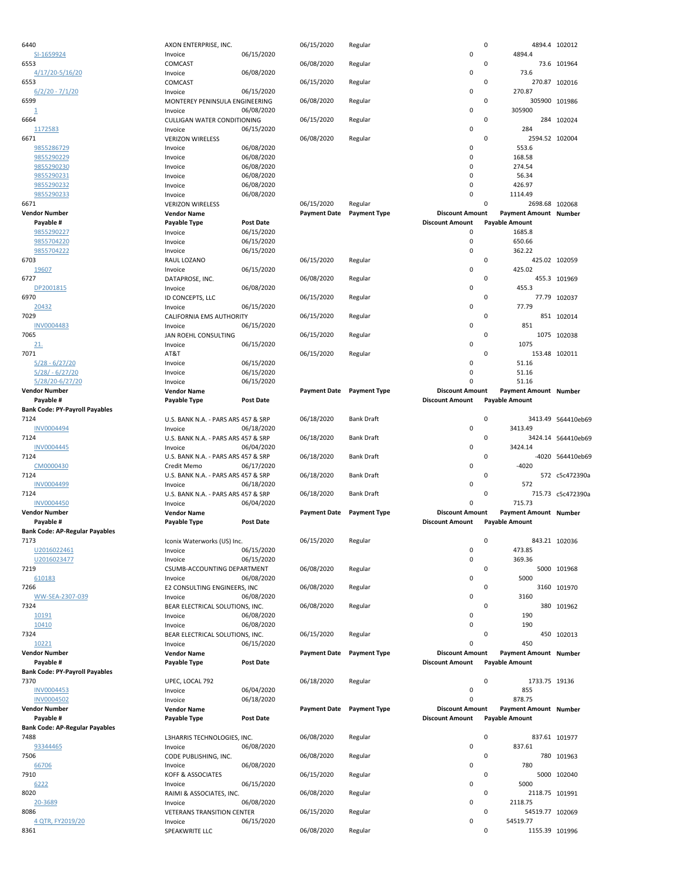| 6440                                  | AXON ENTERPRISE, INC.                      |                  | 06/15/2020          | Regular             | 0                      |                            | 4894.4 102012      |
|---------------------------------------|--------------------------------------------|------------------|---------------------|---------------------|------------------------|----------------------------|--------------------|
| SI-1659924                            | Invoice                                    | 06/15/2020       |                     |                     | 0                      | 4894.4                     |                    |
| 6553                                  | COMCAST                                    |                  | 06/08/2020          | Regular             | 0                      |                            | 73.6 101964        |
| 4/17/20-5/16/20                       | Invoice                                    | 06/08/2020       |                     |                     | 0                      | 73.6                       |                    |
| 6553                                  | COMCAST                                    |                  | 06/15/2020          | Regular             | 0                      |                            | 270.87 102016      |
| $6/2/20 - 7/1/20$                     | Invoice                                    | 06/15/2020       |                     |                     | 0                      | 270.87                     |                    |
| 6599                                  | MONTEREY PENINSULA ENGINEERING             |                  | 06/08/2020          | Regular             | 0                      |                            | 305900 101986      |
| $\overline{\mathbf{1}}$               | Invoice                                    | 06/08/2020       |                     |                     | 0                      | 305900                     |                    |
| 6664                                  | CULLIGAN WATER CONDITIONING                |                  | 06/15/2020          | Regular             | 0                      |                            | 284 102024         |
| 1172583                               | Invoice                                    | 06/15/2020       |                     |                     | 0                      | 284                        |                    |
| 6671                                  | <b>VERIZON WIRELESS</b>                    |                  | 06/08/2020          | Regular             | 0                      | 2594.52 102004             |                    |
| 9855286729                            | Invoice                                    | 06/08/2020       |                     |                     | 0                      | 553.6                      |                    |
| 9855290229                            | Invoice                                    | 06/08/2020       |                     |                     | 0                      | 168.58                     |                    |
| 9855290230                            | Invoice                                    | 06/08/2020       |                     |                     | 0                      | 274.54                     |                    |
| 9855290231                            | Invoice                                    | 06/08/2020       |                     |                     | 0                      | 56.34                      |                    |
| 9855290232                            | Invoice                                    | 06/08/2020       |                     |                     | 0                      | 426.97                     |                    |
| 9855290233                            | Invoice                                    | 06/08/2020       |                     |                     | 0                      | 1114.49                    |                    |
| 6671                                  | <b>VERIZON WIRELESS</b>                    |                  | 06/15/2020          | Regular             | 0                      | 2698.68 102068             |                    |
| <b>Vendor Number</b>                  | <b>Vendor Name</b>                         |                  | <b>Payment Date</b> | <b>Payment Type</b> | <b>Discount Amount</b> | Payment Amount Number      |                    |
| Payable #                             | <b>Payable Type</b>                        | <b>Post Date</b> |                     |                     | <b>Discount Amount</b> | <b>Payable Amount</b>      |                    |
| 9855290227                            | Invoice                                    | 06/15/2020       |                     |                     | 0                      | 1685.8                     |                    |
| 9855704220                            | Invoice                                    | 06/15/2020       |                     |                     | 0                      | 650.66                     |                    |
|                                       |                                            |                  |                     |                     | 0                      |                            |                    |
| 9855704222<br>6703                    | Invoice                                    | 06/15/2020       | 06/15/2020          |                     | 0                      | 362.22                     |                    |
|                                       | RAUL LOZANO                                |                  |                     | Regular             | 0                      |                            | 425.02 102059      |
| 19607                                 | Invoice                                    | 06/15/2020       |                     |                     |                        | 425.02                     |                    |
| 6727                                  | DATAPROSE, INC.                            |                  | 06/08/2020          | Regular             | 0                      |                            | 455.3 101969       |
| DP2001815                             | Invoice                                    | 06/08/2020       |                     |                     | 0                      | 455.3                      |                    |
| 6970                                  | ID CONCEPTS, LLC                           |                  | 06/15/2020          | Regular             | 0                      |                            | 77.79 102037       |
| 20432                                 | Invoice                                    | 06/15/2020       |                     |                     | 0                      | 77.79                      |                    |
| 7029                                  | CALIFORNIA EMS AUTHORITY                   |                  | 06/15/2020          | Regular             | 0                      |                            | 851 102014         |
| <b>INV0004483</b>                     | Invoice                                    | 06/15/2020       |                     |                     | 0                      | 851                        |                    |
| 7065                                  | JAN ROEHL CONSULTING                       |                  | 06/15/2020          | Regular             | 0                      |                            | 1075 102038        |
| 21.                                   | Invoice                                    | 06/15/2020       |                     |                     | 0                      | 1075                       |                    |
| 7071                                  | AT&T                                       |                  | 06/15/2020          | Regular             | 0                      |                            | 153.48 102011      |
| $5/28 - 6/27/20$                      | Invoice                                    | 06/15/2020       |                     |                     | 0                      | 51.16                      |                    |
| $5/28/ - 6/27/20$                     | Invoice                                    | 06/15/2020       |                     |                     | 0                      | 51.16                      |                    |
| 5/28/20-6/27/20                       | Invoice                                    | 06/15/2020       |                     |                     | 0                      | 51.16                      |                    |
| <b>Vendor Number</b>                  | <b>Vendor Name</b>                         |                  | <b>Payment Date</b> | <b>Payment Type</b> | <b>Discount Amount</b> | Payment Amount Number      |                    |
| Payable #                             | Payable Type                               | Post Date        |                     |                     | <b>Discount Amount</b> | <b>Payable Amount</b>      |                    |
| <b>Bank Code: PY-Payroll Payables</b> |                                            |                  |                     |                     |                        |                            |                    |
| 7124                                  | U.S. BANK N.A. - PARS ARS 457 & SRP        |                  | 06/18/2020          | <b>Bank Draft</b>   | 0                      |                            | 3413.49 564410eb69 |
|                                       | Invoice                                    |                  |                     |                     | 0                      |                            |                    |
| <b>INV0004494</b>                     |                                            | 06/18/2020       |                     |                     |                        | 3413.49                    |                    |
| 7124                                  | U.S. BANK N.A. - PARS ARS 457 & SRP        |                  | 06/18/2020          | <b>Bank Draft</b>   | 0                      |                            | 3424.14 564410eb69 |
| <b>INV0004445</b>                     | Invoice                                    | 06/04/2020       |                     |                     | 0                      | 3424.14                    |                    |
| 7124                                  | U.S. BANK N.A. - PARS ARS 457 & SRP        |                  | 06/18/2020          | <b>Bank Draft</b>   | 0                      |                            | -4020 564410eb69   |
| CM0000430                             | Credit Memo                                | 06/17/2020       |                     |                     | 0                      | $-4020$                    |                    |
| 7124                                  | U.S. BANK N.A. - PARS ARS 457 & SRP        |                  | 06/18/2020          | <b>Bank Draft</b>   | 0                      |                            | 572 c5c472390a     |
|                                       | Invoice                                    |                  |                     |                     | 0                      | 572                        |                    |
| <b>INV0004499</b><br>7124             | U.S. BANK N.A. - PARS ARS 457 & SRP        | 06/18/2020       | 06/18/2020          | <b>Bank Draft</b>   | 0                      |                            | 715.73 c5c472390a  |
| <b>INV0004450</b>                     |                                            |                  |                     |                     | 0                      |                            |                    |
| <b>Vendor Number</b>                  | Invoice                                    | 06/04/2020       |                     |                     | <b>Discount Amount</b> | 715.73                     |                    |
|                                       | <b>Vendor Name</b>                         |                  | <b>Payment Date</b> | <b>Payment Type</b> |                        | Payment Amount Number      |                    |
| Payable #                             | Payable Type                               | <b>Post Date</b> |                     |                     | <b>Discount Amount</b> | <b>Payable Amount</b>      |                    |
| <b>Bank Code: AP-Regular Payables</b> |                                            |                  |                     |                     | $\pmb{0}$              |                            |                    |
| 7173                                  | Iconix Waterworks (US) Inc.                |                  | 06/15/2020          | Regular             |                        |                            | 843.21 102036      |
| U2016022461                           | Invoice                                    | 06/15/2020       |                     |                     | 0                      | 473.85                     |                    |
| U2016023477                           | Invoice                                    | 06/15/2020       |                     |                     | 0                      | 369.36                     |                    |
| 7219                                  | CSUMB-ACCOUNTING DEPARTMENT                |                  | 06/08/2020          | Regular             | 0<br>0                 | 5000                       | 5000 101968        |
| 610183<br>7266                        | Invoice                                    | 06/08/2020       | 06/08/2020          |                     | 0                      |                            | 3160 101970        |
|                                       | E2 CONSULTING ENGINEERS, INC               | 06/08/2020       |                     | Regular             | 0                      | 3160                       |                    |
| WW-SEA-2307-039<br>7324               | Invoice<br>BEAR ELECTRICAL SOLUTIONS, INC. |                  | 06/08/2020          | Regular             | 0                      |                            |                    |
| 10191                                 |                                            | 06/08/2020       |                     |                     | 0                      | 190                        | 380 101962         |
|                                       | Invoice                                    |                  |                     |                     | 0                      | 190                        |                    |
| 10410                                 | Invoice                                    | 06/08/2020       |                     |                     |                        |                            |                    |
| 7324                                  | BEAR ELECTRICAL SOLUTIONS, INC.            |                  | 06/15/2020          | Regular             | 0                      |                            | 450 102013         |
| 10221                                 | Invoice                                    | 06/15/2020       |                     |                     | 0                      | 450                        |                    |
| <b>Vendor Number</b>                  | <b>Vendor Name</b>                         |                  | <b>Payment Date</b> | <b>Payment Type</b> | <b>Discount Amount</b> | Payment Amount Number      |                    |
| Payable #                             | Payable Type                               | <b>Post Date</b> |                     |                     | <b>Discount Amount</b> | <b>Payable Amount</b>      |                    |
| <b>Bank Code: PY-Payroll Payables</b> |                                            |                  |                     |                     |                        |                            |                    |
| 7370                                  | UPEC, LOCAL 792                            |                  | 06/18/2020          | Regular             | 0                      | 1733.75 19136              |                    |
| INV0004453                            | Invoice                                    | 06/04/2020       |                     |                     | 0                      | 855                        |                    |
| <b>INV0004502</b>                     | Invoice                                    | 06/18/2020       |                     |                     | 0                      | 878.75                     |                    |
| <b>Vendor Number</b>                  | <b>Vendor Name</b>                         |                  | <b>Payment Date</b> | <b>Payment Type</b> | <b>Discount Amount</b> | Payment Amount Number      |                    |
| Payable #                             | Payable Type                               | <b>Post Date</b> |                     |                     | <b>Discount Amount</b> | <b>Payable Amount</b>      |                    |
| <b>Bank Code: AP-Regular Payables</b> |                                            |                  |                     |                     |                        |                            |                    |
| 7488                                  | L3HARRIS TECHNOLOGIES, INC.                |                  | 06/08/2020          | Regular             | 0                      |                            | 837.61 101977      |
| 93344465                              | Invoice                                    | 06/08/2020       |                     |                     | 0                      | 837.61                     |                    |
| 7506                                  | CODE PUBLISHING, INC.                      |                  | 06/08/2020          | Regular             | 0                      |                            | 780 101963         |
| 66706                                 | Invoice                                    | 06/08/2020       |                     |                     | 0                      | 780                        |                    |
| 7910                                  | KOFF & ASSOCIATES                          |                  | 06/15/2020          | Regular             | 0                      |                            | 5000 102040        |
| 6222                                  | Invoice                                    | 06/15/2020       |                     |                     | 0                      | 5000                       |                    |
| 8020                                  | RAIMI & ASSOCIATES, INC.                   |                  | 06/08/2020          | Regular             | 0                      | 2118.75 101991             |                    |
| 20-3689                               | Invoice                                    | 06/08/2020       |                     |                     | 0                      | 2118.75                    |                    |
| 8086                                  | <b>VETERANS TRANSITION CENTER</b>          |                  | 06/15/2020          | Regular             | 0                      | 54519.77 102069            |                    |
| 4 QTR, FY2019/20<br>8361              | Invoice<br>SPEAKWRITE LLC                  | 06/15/2020       | 06/08/2020          | Regular             | 0<br>0                 | 54519.77<br>1155.39 101996 |                    |